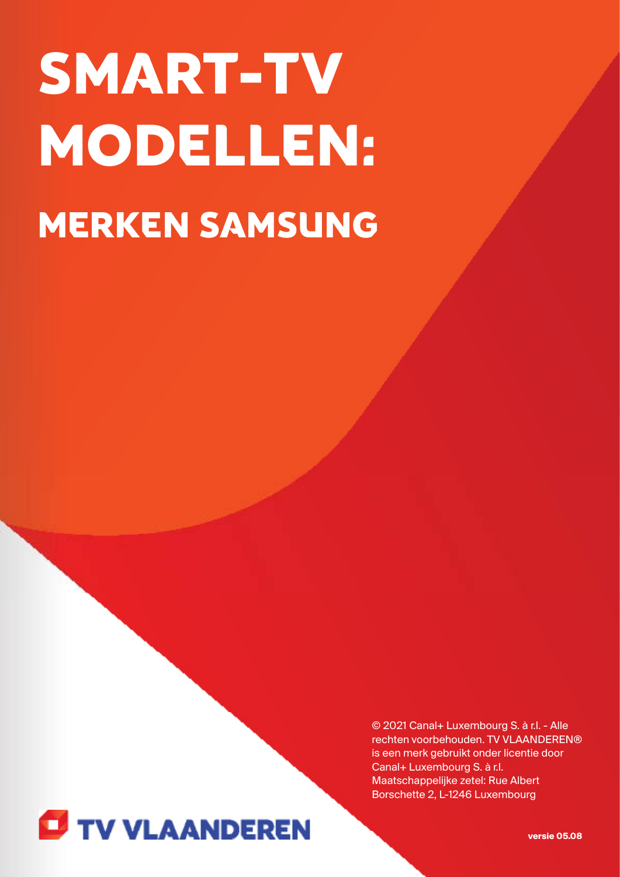# SMART-TV MODELLEN: MERKEN SAMSUNG

© 2021 Canal+ Luxembourg S. à r.l. - Alle rechten voorbehouden. TV VLAANDEREN® is een merk gebruikt onder licentie door Canal+ Luxembourg S. à r.l. Maatschappelijke zetel: Rue Albert Borschette 2, L-1246 Luxembourg



**versie 05.08**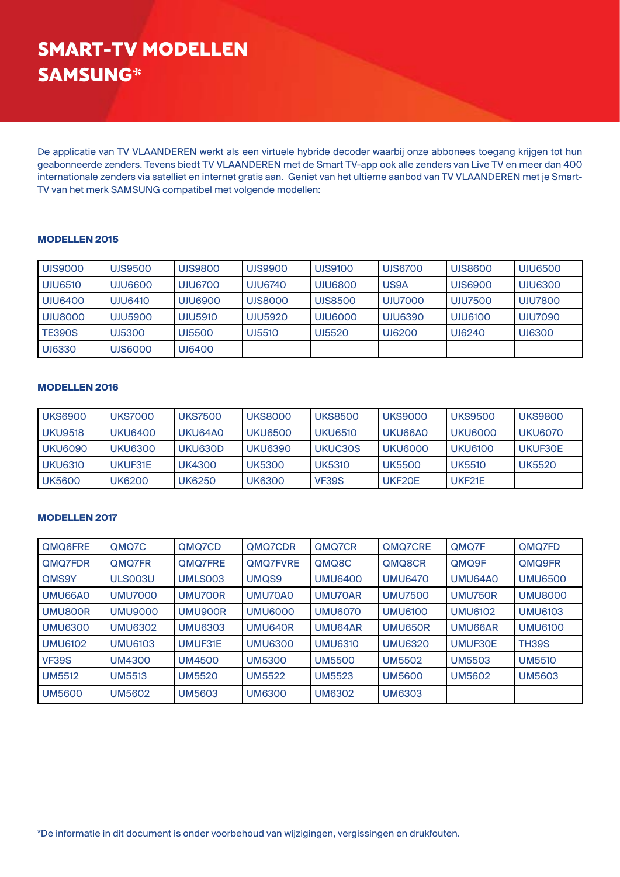De applicatie van TV VLAANDEREN werkt als een virtuele hybride decoder waarbij onze abbonees toegang krijgen tot hun geabonneerde zenders. Tevens biedt TV VLAANDEREN met de Smart TV-app ook alle zenders van Live TV en meer dan 400 internationale zenders via satelliet en internet gratis aan. Geniet van het ultieme aanbod van TV VLAANDEREN met je Smart-TV van het merk SAMSUNG compatibel met volgende modellen:

#### **MODELLEN 2015**

| <b>UIS9000</b> | UJS9500        | UJS9800        | UJS9900        | UJS9100 | UJS6700        | UJS8600        | UJU6500        |
|----------------|----------------|----------------|----------------|---------|----------------|----------------|----------------|
| <b>UJU6510</b> | UJU6600        | <b>UJU6700</b> | <b>UJU6740</b> | UJU6800 | US9A           | UJS6900        | <b>UJU6300</b> |
| UJU6400        | UJU6410        | UJU6900        | UJS8000        | UJS8500 | <b>UJU7000</b> | <b>UJU7500</b> | <b>UJU7800</b> |
| UJU8000        | <b>UJU5900</b> | <b>UJU5910</b> | <b>UJU5920</b> | UJU6000 | <b>UJU6390</b> | UJU6100        | <b>UJU7090</b> |
| <b>TE390S</b>  | UJ5300         | UJ5500         | UJ5510         | UJ5520  | UJ6200         | UJ6240         | UJ6300         |
| UJ6330         | UJS6000        | UJ6400         |                |         |                |                |                |

## **MODELLEN 2016**

| <b>UKS6900</b> | <b>UKS7000</b> | <b>UKS7500</b> | <b>UKS8000</b> | <b>UKS8500</b> | <b>UKS9000</b> | <b>UKS9500</b> | <b>UKS9800</b> |
|----------------|----------------|----------------|----------------|----------------|----------------|----------------|----------------|
| <b>UKU9518</b> | <b>UKU6400</b> | UKU64A0        | <b>UKU6500</b> | <b>UKU6510</b> | UKU66A0        | UKU6000        | <b>UKU6070</b> |
| <b>UKU6090</b> | <b>UKU6300</b> | UKU630D        | <b>UKU6390</b> | UKUC30S        | <b>UKU6000</b> | <b>UKU6100</b> | UKUF30E        |
| <b>UKU6310</b> | UKUF31E        | UK4300         | <b>UK5300</b>  | <b>UK5310</b>  | <b>UK5500</b>  | <b>UK5510</b>  | <b>UK5520</b>  |
| UK5600         | UK6200         | UK6250         | UK6300         | <b>VF39S</b>   | UKF20E         | UKF21E         |                |

## **MODELLEN 2017**

| QMQ6FRE        | QMQ7C          | QMQ7CD         | QMQ7CDR           | QMQ7CR         | QMQ7CRE        | QMQ7F          | QMQ7FD         |
|----------------|----------------|----------------|-------------------|----------------|----------------|----------------|----------------|
| QMQ7FDR        | QMQ7FR         | <b>QMQ7FRE</b> | QMQ7FVRE          | QMQ8C          | QMQ8CR         | QMQ9F          | QMQ9FR         |
| QMS9Y          | ULS003U        | UMLS003        | UMQ <sub>S9</sub> | <b>UMU6400</b> | <b>UMU6470</b> | UMU64A0        | <b>UMU6500</b> |
| UMU66A0        | <b>UMU7000</b> | UMU700R        | UMU70A0           | UMU70AR        | <b>UMU7500</b> | UMU750R        | <b>UMU8000</b> |
| UMU800R        | <b>UMU9000</b> | UMU900R        | <b>UMU6000</b>    | <b>UMU6070</b> | <b>UMU6100</b> | <b>UMU6102</b> | <b>UMU6103</b> |
| <b>UMU6300</b> | <b>UMU6302</b> | <b>UMU6303</b> | UMU640R           | UMU64AR        | UMU650R        | UMU66AR        | <b>UMU6100</b> |
| <b>UMU6102</b> | <b>UMU6103</b> | UMUF31E        | <b>UMU6300</b>    | <b>UMU6310</b> | <b>UMU6320</b> | UMUF30E        | TH39S          |
| <b>VF39S</b>   | <b>UM4300</b>  | <b>UM4500</b>  | <b>UM5300</b>     | <b>UM5500</b>  | <b>UM5502</b>  | <b>UM5503</b>  | <b>UM5510</b>  |
| <b>UM5512</b>  | <b>UM5513</b>  | <b>UM5520</b>  | <b>UM5522</b>     | <b>UM5523</b>  | <b>UM5600</b>  | <b>UM5602</b>  | <b>UM5603</b>  |
| <b>UM5600</b>  | UM5602         | <b>UM5603</b>  | <b>UM6300</b>     | <b>UM6302</b>  | <b>UM6303</b>  |                |                |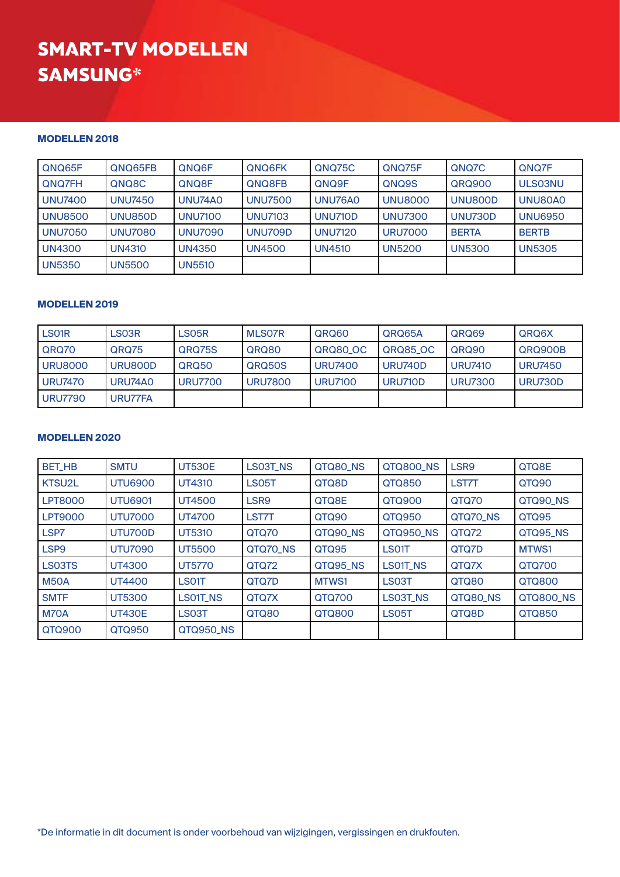## **MODELLEN 2018**

| QNQ65F         | QNQ65FB        | QNQ6F          | QNQ6FK         | QNQ75C         | QNQ75F         | QNQ7C          | QNQ7F          |
|----------------|----------------|----------------|----------------|----------------|----------------|----------------|----------------|
| QNQ7FH         | QNQ8C          | QNQ8F          | QNQ8FB         | QNQ9F          | QNQ9S          | QRQ900         | ULS03NU        |
| <b>UNU7400</b> | <b>UNU7450</b> | UNU74A0        | <b>UNU7500</b> | UNU76A0        | <b>UNU8000</b> | UNU800D        | UNU80A0        |
| <b>UNU8500</b> | <b>UNU850D</b> | <b>UNU7100</b> | <b>UNU7103</b> | UNU710D        | <b>UNU7300</b> | <b>UNU730D</b> | <b>UNU6950</b> |
| <b>UNU7050</b> | <b>UNU7080</b> | <b>UNU7090</b> | <b>UNU709D</b> | <b>UNU7120</b> | <b>URU7000</b> | <b>BERTA</b>   | <b>BERTB</b>   |
| <b>UN4300</b>  | <b>UN4310</b>  | <b>UN4350</b>  | <b>UN4500</b>  | <b>UN4510</b>  | <b>UN5200</b>  | <b>UN5300</b>  | <b>UN5305</b>  |
| <b>UN5350</b>  | <b>UN5500</b>  | <b>UN5510</b>  |                |                |                |                |                |

## **MODELLEN 2019**

| LS01R          | LS03R   | LS05R          | <b>MLSO7R</b>  | QRQ60          | QRQ65A         | QRQ69          | QRQ6X          |
|----------------|---------|----------------|----------------|----------------|----------------|----------------|----------------|
| QRQ70          | QRQ75   | QRQ75S         | QRQ80          | QRQ80 OC       | QRQ85_OC       | QRQ90          | QRQ900B        |
| <b>URU8000</b> | URU800D | QRQ50          | QRQ50S         | <b>URU7400</b> | URU740D        | <b>URU7410</b> | <b>URU7450</b> |
| <b>URU7470</b> | URU74A0 | <b>URU7700</b> | <b>URU7800</b> | <b>URU7100</b> | <b>URU710D</b> | <b>URU7300</b> | URU730D        |
| <b>URU7790</b> | URU77FA |                |                |                |                |                |                |

#### **MODELLEN 2020**

| <b>BET_HB</b>    | <b>SMTU</b>    | <b>UT530E</b> | LS03T_NS     | QTQ80_NS | QTQ800_NS        | LSR9     | QTQ8E     |
|------------------|----------------|---------------|--------------|----------|------------------|----------|-----------|
| KTSU2L           | <b>UTU6900</b> | <b>UT4310</b> | <b>LS05T</b> | QTQ8D    | QTQ850           | LST7T    | QTQ90     |
| <b>LPT8000</b>   | <b>UTU6901</b> | UT4500        | LSR9         | QTQ8E    | QTQ900           | QTQ70    | QTQ90_NS  |
| <b>LPT9000</b>   | <b>UTU7000</b> | <b>UT4700</b> | LST7T        | QTQ90    | QTQ950           | QTQ70_NS | QTQ95     |
| LSP7             | UTU700D        | <b>UT5310</b> | QTQ70        | QTQ90_NS | <b>QTQ950_NS</b> | QTQ72    | QTQ95_NS  |
| LSP <sub>9</sub> | <b>UTU7090</b> | <b>UT5500</b> | QTQ70_NS     | QTQ95    | LS01T            | QTQ7D    | MTWS1     |
| LS03TS           | UT4300         | <b>UT5770</b> | QTQ72        | QTQ95_NS | <b>LSO1T NS</b>  | QTQ7X    | QTQ700    |
| <b>M50A</b>      | <b>UT4400</b>  | LS01T         | QTQ7D        | MTWS1    | LS03T            | QTQ80    | QTQ800    |
| <b>SMTF</b>      | <b>UT5300</b>  | LS01T_NS      | QTQ7X        | QTQ700   | LS03T_NS         | QTQ80_NS | QTQ800_NS |
| M70A             | <b>UT430E</b>  | LS03T         | QTQ80        | QTQ800   | LS05T            | QTQ8D    | QTQ850    |
| QTQ900           | QTQ950         | QTQ950 NS     |              |          |                  |          |           |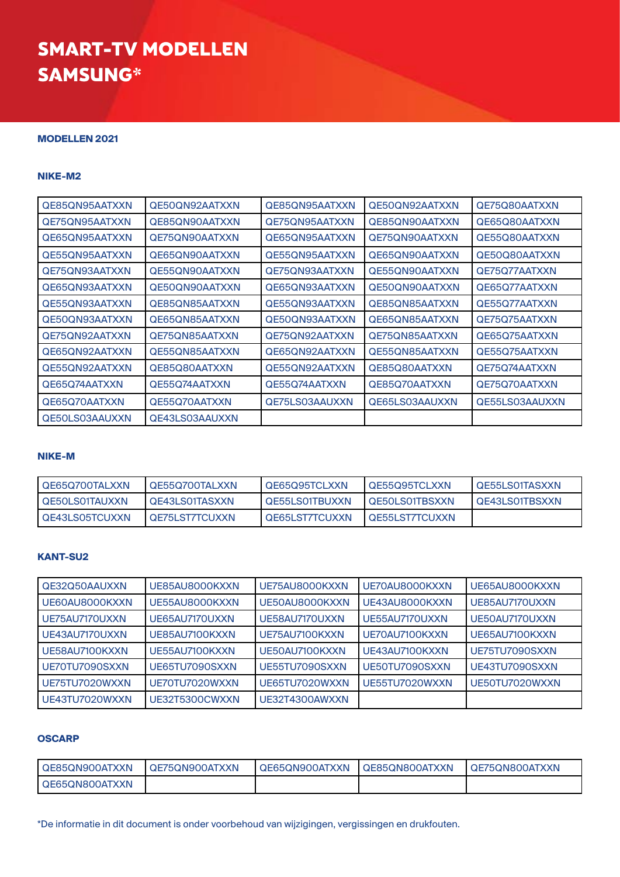## **MODELLEN 2021**

#### **NIKE-M2**

| QE85QN95AATXXN | QE50QN92AATXXN | QE85QN95AATXXN | QE50QN92AATXXN | QE75Q80AATXXN  |
|----------------|----------------|----------------|----------------|----------------|
| QE75QN95AATXXN | QE85QN90AATXXN | QE75QN95AATXXN | QE85QN90AATXXN | QE65Q80AATXXN  |
| QE65QN95AATXXN | QE75QN90AATXXN | QE65QN95AATXXN | QE75QN90AATXXN | QE55Q80AATXXN  |
| QE55QN95AATXXN | QE65QN90AATXXN | QE55QN95AATXXN | QE65QN90AATXXN | QE50Q80AATXXN  |
| QE75QN93AATXXN | QE55QN90AATXXN | QE75QN93AATXXN | QE55QN90AATXXN | QE75Q77AATXXN  |
| QE65QN93AATXXN | QE50QN90AATXXN | QE65QN93AATXXN | QE50QN90AATXXN | QE65Q77AATXXN  |
| QE55QN93AATXXN | QE85QN85AATXXN | QE55QN93AATXXN | QE85QN85AATXXN | QE55Q77AATXXN  |
| QE50QN93AATXXN | QE65QN85AATXXN | QE50QN93AATXXN | QE65QN85AATXXN | QE75Q75AATXXN  |
| QE75QN92AATXXN | QE75QN85AATXXN | QE75QN92AATXXN | QE75QN85AATXXN | QE65Q75AATXXN  |
| QE65QN92AATXXN | QE55QN85AATXXN | QE65QN92AATXXN | QE55QN85AATXXN | QE55Q75AATXXN  |
| QE55QN92AATXXN | QE85Q80AATXXN  | QE55QN92AATXXN | QE85Q80AATXXN  | QE75Q74AATXXN  |
| QE65Q74AATXXN  | QE55Q74AATXXN  | QE55Q74AATXXN  | QE85Q70AATXXN  | QE75Q70AATXXN  |
| QE65Q70AATXXN  | QE55Q70AATXXN  | QE75LS03AAUXXN | QE65LS03AAUXXN | QE55LS03AAUXXN |
| QE50LS03AAUXXN | QE43LS03AAUXXN |                |                |                |

#### **NIKE-M**

| LQE65Q700TALXXN       | I QE55Q700TALXXN | QE65Q95TCLXXN         | I QE55Q95TCLXXN        | I QE55LS01TASXXN      |
|-----------------------|------------------|-----------------------|------------------------|-----------------------|
| <b>QE50LS01TAUXXN</b> | I QE43LS01TASXXN | QE55LS01TBUXXN        | I QE50LS01TBSXXN       | <b>QE43LS01TBSXXN</b> |
| <b>QE43LS05TCUXXN</b> | LQE75LST7TCUXXN  | <b>QE65LST7TCUXXN</b> | <b>LQE55LST7TCUXXN</b> |                       |

# **KANT-SU2**

| QE32Q50AAUXXN  | UE85AU8000KXXN | UE75AU8000KXXN | UE70AU8000KXXN | UE65AU8000KXXN |
|----------------|----------------|----------------|----------------|----------------|
| UE60AU8000KXXN | UE55AU8000KXXN | UE50AU8000KXXN | UE43AU8000KXXN | UE85AU7170UXXN |
| UE75AU7170UXXN | UE65AU7170UXXN | UE58AU7170UXXN | UE55AU7170UXXN | UE50AU7170UXXN |
| UE43AU7170UXXN | UE85AU7100KXXN | UE75AU7100KXXN | UE70AU7100KXXN | UE65AU7100KXXN |
| UE58AU7100KXXN | UE55AU7100KXXN | UE50AU7100KXXN | UE43AU7100KXXN | UE75TU7090SXXN |
| UE70TU7090SXXN | UE65TU7090SXXN | UE55TU7090SXXN | UE50TU7090SXXN | UE43TU7090SXXN |
| UE75TU7020WXXN | UE70TU7020WXXN | UE65TU7020WXXN | UE55TU7020WXXN | UE50TU7020WXXN |
| UE43TU7020WXXN | UE32T5300CWXXN | UE32T4300AWXXN |                |                |

# **OSCARP**

| I QE85QN900ATXXN | <b>QE75QN900ATXXN</b> | QE65QN900ATXXN | QE85QN800ATXXN | LQE75QN800ATXXN |
|------------------|-----------------------|----------------|----------------|-----------------|
| LQE65QN800ATXXN  |                       |                |                |                 |

\*De informatie in dit document is onder voorbehoud van wijzigingen, vergissingen en drukfouten.